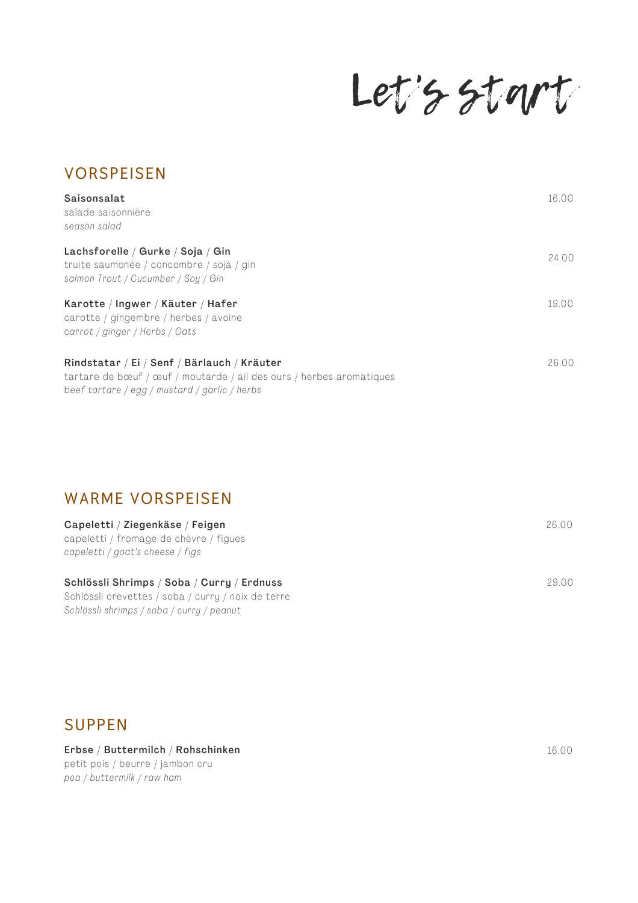Let's start

| <b>VORSPEISEN</b>                                                                                                                                                    |       |
|----------------------------------------------------------------------------------------------------------------------------------------------------------------------|-------|
| Saisonsalat<br>salade saisonnière<br>season salad                                                                                                                    | 16.00 |
| Lachsforelle / Gurke / Soja / Gin<br>truite saumonée / concombre / soja / gin<br>salmon Trout / Cucumber / Soy / Gin                                                 | 24.00 |
| Karotte / Ingwer / Käuter / Hafer<br>carotte / gingembre / herbes / avoine<br>carrot / ginger / Herbs / Oats                                                         | 19.00 |
| Rindstatar / Ei / Senf / Bärlauch / Kräuter<br>tartare de bœuf / œuf / moutarde / ail des ours / herbes aromatiques<br>beef tartare / egg / mustard / garlic / herbs | 26.00 |

### **WARME VORSPEISEN**

| Capeletti / Ziegenkäse / Feigen<br>capeletti / fromage de chèvre / figues<br>capeletti / goat's cheese / figs | 26.00 |
|---------------------------------------------------------------------------------------------------------------|-------|
| Schlössli Shrimps / Soba / Curry / Erdnuss<br>Schlössli crevettes / soba / curry / noix de terre              | 29.00 |
| Schlössli shrimps / soba / curry / peanut                                                                     |       |

**SUPPEN**

#### Erbse / Buttermilch / Rohschinken

petit pois / beurre / jambon cru *pea / buttermi lk / raw ham*

16.00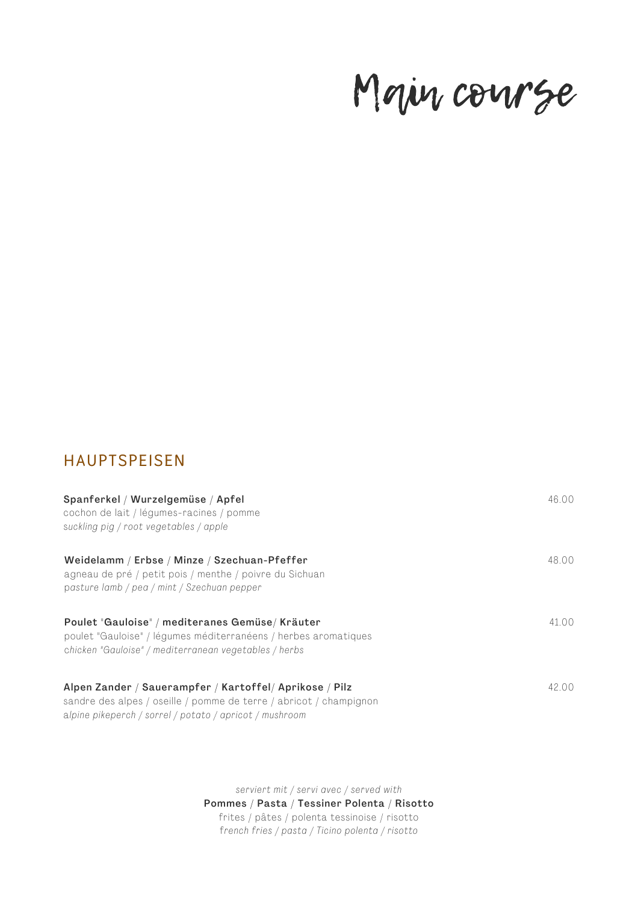## Main course

## **HAUPTSPEISEN**

| Spanferkel / Wurzelgemüse / Apfel<br>cochon de lait / légumes-racines / pomme<br>suckling pig / root vegetables / apple                                                                  | 46.00 |
|------------------------------------------------------------------------------------------------------------------------------------------------------------------------------------------|-------|
| Weidelamm / Erbse / Minze / Szechuan-Pfeffer<br>agneau de pré / petit pois / menthe / poivre du Sichuan<br>pasture lamb / pea / mint / Szechuan pepper                                   | 48.00 |
| Poulet "Gauloise" / mediteranes Gemüse/ Kräuter<br>poulet "Gauloise" / légumes méditerranéens / herbes aromatiques<br>chicken "Gauloise" / mediterranean vegetables / herbs              | 41.00 |
| Alpen Zander / Sauerampfer / Kartoffel/ Aprikose / Pilz<br>sandre des alpes / oseille / pomme de terre / abricot / champignon<br>alpine pikeperch / sorrel / potato / apricot / mushroom | 42.00 |

*serviert mit / servi avec / served with* Pommes / Pasta / Tessiner Polenta / Risotto frites / pâtes / polenta tessinoise / risotto f*rench fries / pasta / Ticino polenta / risotto*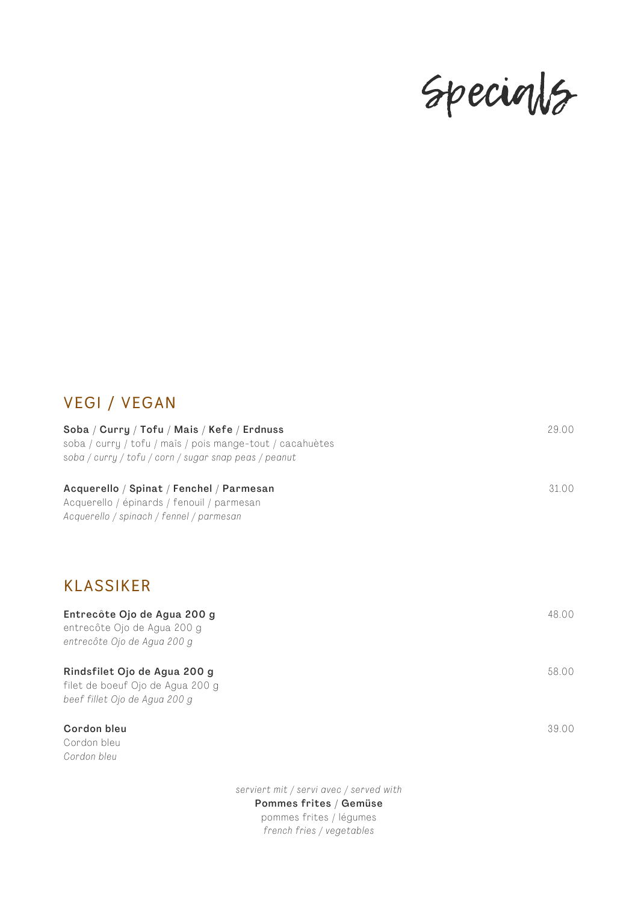## Specials

## **VEGI / VEGAN**

| Soba / Curry / Tofu / Mais / Kefe / Erdnuss<br>soba / curry / tofu / mais / pois mange-tout / cacahuètes<br>soba / curry / tofu / corn / sugar snap peas / peanut |                                         | 29.00 |
|-------------------------------------------------------------------------------------------------------------------------------------------------------------------|-----------------------------------------|-------|
| Acquerello / Spinat / Fenchel / Parmesan<br>Acquerello / épinards / fenouil / parmesan<br>Acquerello / spinach / fennel / parmesan                                |                                         | 31.00 |
| <b>KLASSIKER</b>                                                                                                                                                  |                                         |       |
| Entrecôte Ojo de Agua 200 g<br>entrecôte Ojo de Agua 200 g<br>entrecôte Ojo de Agua 200 g                                                                         |                                         | 48.00 |
| Rindsfilet Ojo de Agua 200 g<br>filet de boeuf Ojo de Agua 200 g<br>beef fillet Ojo de Agua 200 g                                                                 |                                         | 58.00 |
| Cordon bleu<br>Cordon bleu<br>Cordon bleu                                                                                                                         |                                         | 39.00 |
|                                                                                                                                                                   | serviert mit / servi avec / served with |       |

#### Pommes frites / Gemüse

pommes frites / légumes *french fries / vegetables*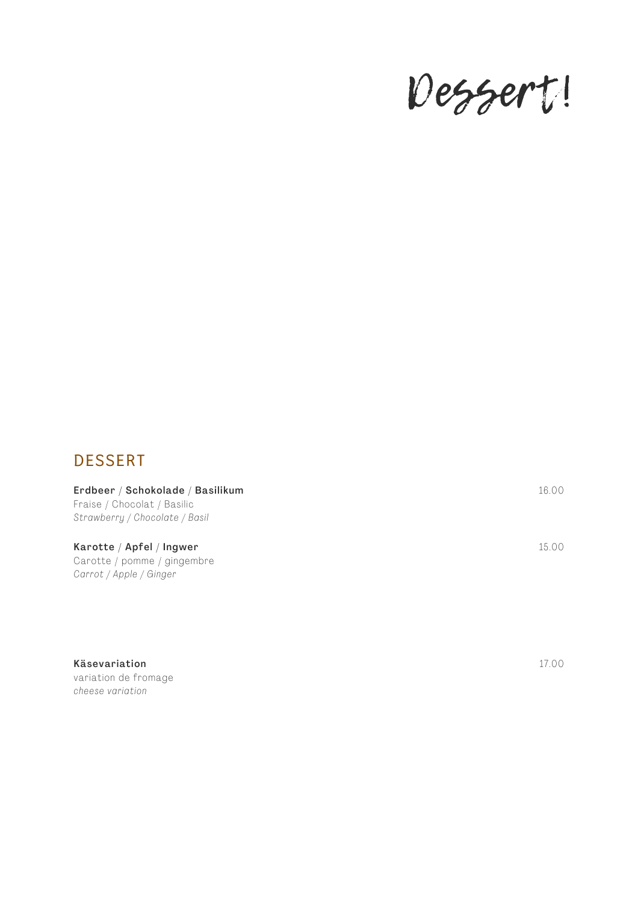# Dessert!

## **DESSERT**

Erdbeer / Schokolade / Basilikum Fraise / Chocolat / Basilic *Strawberry / Chocolate / Basi l*

Karotte / Apfel / Ingwer Carotte / pomme / gingembre *Carrot / Apple / Ginger*

Käsevariation variation de fromage *cheese variation*

17.00

16.00

15.00